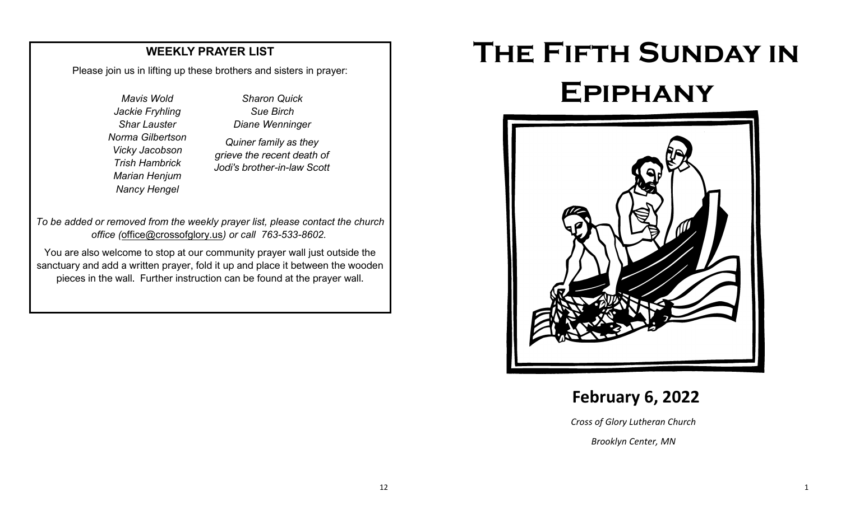### **WEEKLY PRAYER LIST**

Please join us in lifting up these brothers and sisters in prayer:

*Mavis Wold Jackie Fryhling Shar Lauster Norma Gilbertson Vicky Jacobson Trish Hambrick Marian Henjum Nancy Hengel*

*Sharon Quick Sue Birch Diane Wenninger* 

*Quiner family as they grieve the recent death of Jodi's brother-in-law Scott* 

*To be added or removed from the weekly prayer list, please contact the church office (*[office@crossofglory.us](mailto:office@crossofglory.us)*) or call 763-533-8602.*

You are also welcome to stop at our community prayer wall just outside the sanctuary and add a written prayer, fold it up and place it between the wooden pieces in the wall. Further instruction can be found at the prayer wall.

# **The Fifth Sunday in**

## **Epiphany**



**February 6, 2022**

*Cross of Glory Lutheran Church*

*Brooklyn Center, MN*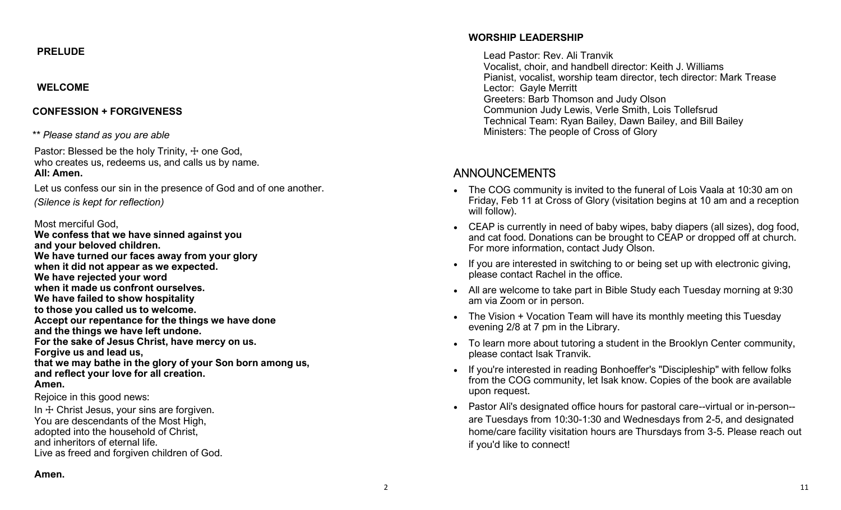#### **PRELUDE**

#### **WELCOME**

#### **CONFESSION + FORGIVENESS**

*\*\* Please stand as you are able*

Pastor: Blessed be the holy Trinity,  $+$  one God, who creates us, redeems us, and calls us by name. **All: Amen.**

Let us confess our sin in the presence of God and of one another.

*(Silence is kept for reflection)*

#### Most merciful God,

**We confess that we have sinned against you and your beloved children. We have turned our faces away from your glory when it did not appear as we expected. We have rejected your word when it made us confront ourselves. We have failed to show hospitality to those you called us to welcome. Accept our repentance for the things we have done and the things we have left undone. For the sake of Jesus Christ, have mercy on us. Forgive us and lead us, that we may bathe in the glory of your Son born among us, and reflect your love for all creation. Amen.** Rejoice in this good news:

In  $+$  Christ Jesus, your sins are forgiven. You are descendants of the Most High, adopted into the household of Christ, and inheritors of eternal life. Live as freed and forgiven children of God.

#### **WORSHIP LEADERSHIP**

Lead Pastor: Rev. Ali Tranvik Vocalist, choir, and handbell director: Keith J. Williams Pianist, vocalist, worship team director, tech director: Mark Trease Lector: Gayle Merritt Greeters: Barb Thomson and Judy Olson Communion Judy Lewis, Verle Smith, Lois Tollefsrud Technical Team: Ryan Bailey, Dawn Bailey, and Bill Bailey Ministers: The people of Cross of Glory

### ANNOUNCEMENTS

- The COG community is invited to the funeral of Lois Vaala at 10:30 am on Friday, Feb 11 at Cross of Glory (visitation begins at 10 am and a reception will follow).
- CEAP is currently in need of baby wipes, baby diapers (all sizes), dog food, and cat food. Donations can be brought to CEAP or dropped off at church. For more information, contact Judy Olson.
- If you are interested in switching to or being set up with electronic giving, please contact Rachel in the office.
- All are welcome to take part in Bible Study each Tuesday morning at 9:30 am via Zoom or in person.
- The Vision + Vocation Team will have its monthly meeting this Tuesday evening 2/8 at 7 pm in the Library.
- To learn more about tutoring a student in the Brooklyn Center community, please contact Isak Tranvik.
- If you're interested in reading Bonhoeffer's "Discipleship" with fellow folks from the COG community, let Isak know. Copies of the book are available upon request.
- Pastor Ali's designated office hours for pastoral care--virtual or in-person- are Tuesdays from 10:30-1:30 and Wednesdays from 2-5, and designated home/care facility visitation hours are Thursdays from 3-5. Please reach out if you'd like to connect!

#### **Amen.**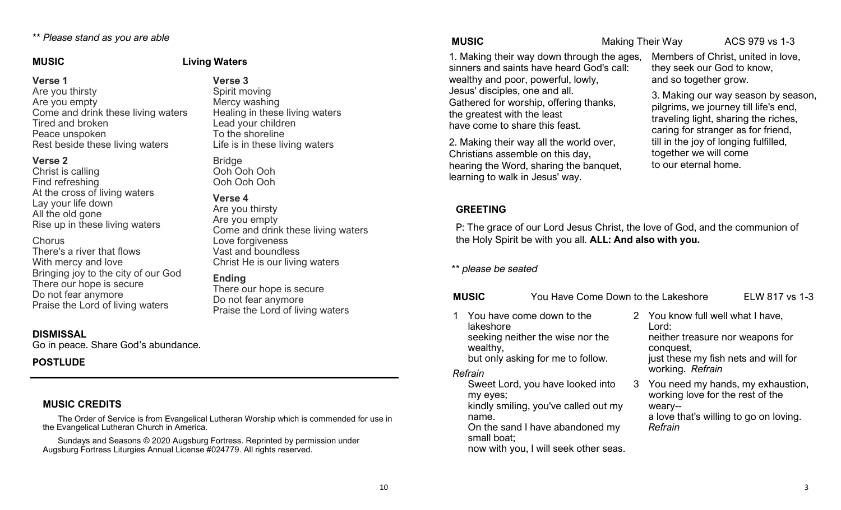#### **Verse 1**

Are you thirsty Are you empty Come and drink these living waters Tired and broken Peace unspoken Rest beside these living waters

#### **Verse 2**

Christ is calling Find refreshing At the cross of living waters Lay your life down All the old gone Rise up in these living waters

#### **Chorus**

There's a river that flows With mercy and love Bringing joy to the city of our God There our hope is secure Do not fear anymore Praise the Lord of living waters

## **MUSIC Living Waters**

**Verse 3** Spirit moving Mercy washing Healing in these living waters Lead your children To the shoreline Life is in these living waters

#### **Bridge** Ooh Ooh Ooh

Ooh Ooh Ooh

#### **Verse 4**

Are you thirsty Are you empty Come and drink these living waters Love forgiveness Vast and boundless Christ He is our living waters

### **Ending**

There our hope is secure Do not fear anymore Praise the Lord of living waters

#### **DISMISSAL**

Go in peace. Share God's abundance.

### **POSTLUDE**

#### **MUSIC CREDITS**

The Order of Service is from Evangelical Lutheran Worship which is commended for use in the Evangelical Lutheran Church in America.

Sundays and Seasons © 2020 Augsburg Fortress. Reprinted by permission under Augsburg Fortress Liturgies Annual License #024779. All rights reserved.

1. Making their way down through the ages, sinners and saints have heard God's call: wealthy and poor, powerful, lowly, Jesus' disciples, one and all. Gathered for worship, offering thanks, the greatest with the least have come to share this feast.

2. Making their way all the world over, Christians assemble on this day, hearing the Word, sharing the banquet, learning to walk in Jesus' way.

**MUSIC** Making Their Way ACS 979 vs 1-3

Members of Christ, united in love, they seek our God to know, and so together grow.

3. Making our way season by season, pilgrims, we journey till life's end, traveling light, sharing the riches, caring for stranger as for friend, till in the joy of longing fulfilled, together we will come to our eternal home.

### **GREETING**

P: The grace of our Lord Jesus Christ, the love of God, and the communion of the Holy Spirit be with you all. **ALL: And also with you.**

*\*\* please be seated*

### **MUSIC** You Have Come Down to the Lakeshore ELW 817 vs 1-3

1 You have come down to the lakeshore seeking neither the wise nor the wealthy, but only asking for me to follow.

#### *Refrain*

Sweet Lord, you have looked into my eyes; kindly smiling, you've called out my name. On the sand I have abandoned my small boat; now with you, I will seek other seas.

- 2 You know full well what I have, Lord: neither treasure nor weapons for conquest, just these my fish nets and will for working. *Refrain*
- 3 You need my hands, my exhaustion, working love for the rest of the weary- a love that's willing to go on loving. *Refrain*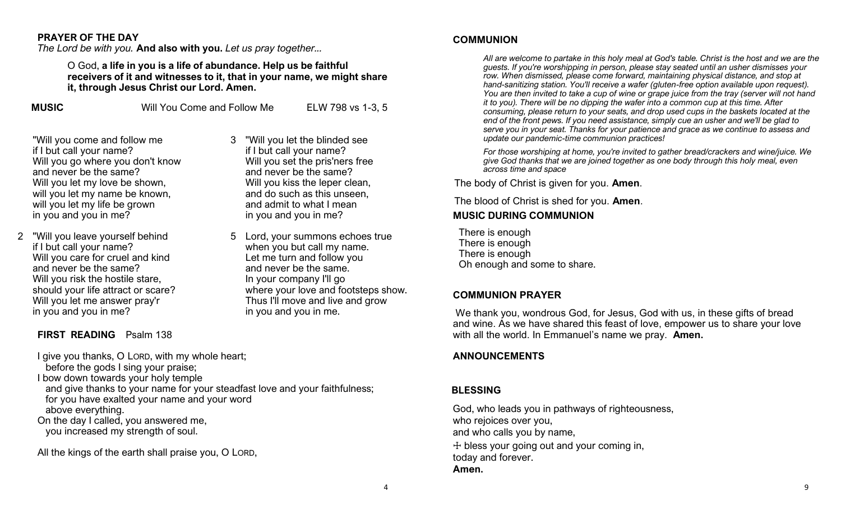#### **PRAYER OF THE DAY**

*The Lord be with you.* **And also with you.** *Let us pray together...* 

O God, **a life in you is a life of abundance. Help us be faithful receivers of it and witnesses to it, that in your name, we might share it, through Jesus Christ our Lord. Amen.**

**MUSIC** Will You Come and Follow Me ELW 798 vs 1-3, 5

"Will you come and follow me if I but call your name? Will you go where you don't know and never be the same? Will you let my love be shown, will you let my name be known, will you let my life be grown in you and you in me?

2 "Will you leave yourself behind if I but call your name? Will you care for cruel and kind and never be the same? Will you risk the hostile stare. should your life attract or scare? Will you let me answer pray'r in you and you in me?

#### **FIRST READING** Psalm 138

- I give you thanks, O LORD, with my whole heart;
- before the gods I sing your praise;
- I bow down towards your holy temple
- and give thanks to your name for your steadfast love and your faithfulness; for you have exalted your name and your word above everything.

On the day I called, you answered me,

you increased my strength of soul.

All the kings of the earth shall praise you, O LORD,

- 3 "Will you let the blinded see if I but call your name? Will you set the pris'ners free and never be the same? Will you kiss the leper clean, and do such as this unseen, and admit to what I mean in you and you in me?
- 5 Lord, your summons echoes true when you but call my name. Let me turn and follow you and never be the same. In your company I'll go where your love and footsteps show. Thus I'll move and live and grow in you and you in me.

#### **COMMUNION**

*All are welcome to partake in this holy meal at God's table. Christ is the host and we are the guests. If you're worshipping in person, please stay seated until an usher dismisses your row. When dismissed, please come forward, maintaining physical distance, and stop at hand-sanitizing station. You'll receive a wafer (gluten-free option available upon request). You are then invited to take a cup of wine or grape juice from the tray (server will not hand it to you). There will be no dipping the wafer into a common cup at this time. After consuming, please return to your seats, and drop used cups in the baskets located at the end of the front pews. If you need assistance, simply cue an usher and we'll be glad to serve you in your seat. Thanks for your patience and grace as we continue to assess and update our pandemic-time communion practices!* 

*For those worshiping at home, you're invited to gather bread/crackers and wine/juice. We give God thanks that we are joined together as one body through this holy meal, even across time and space* 

The body of Christ is given for you. **Amen**.

The blood of Christ is shed for you. **Amen**.

#### **MUSIC DURING COMMUNION**

There is enough There is enough There is enough Oh enough and some to share.

#### **COMMUNION PRAYER**

We thank you, wondrous God, for Jesus, God with us, in these gifts of bread and wine. As we have shared this feast of love, empower us to share your love with all the world. In Emmanuel's name we pray. **Amen.** 

#### **ANNOUNCEMENTS**

#### **BLESSING**

God, who leads you in pathways of righteousness, who rejoices over you, and who calls you by name, ☩ bless your going out and your coming in, today and forever. **Amen.**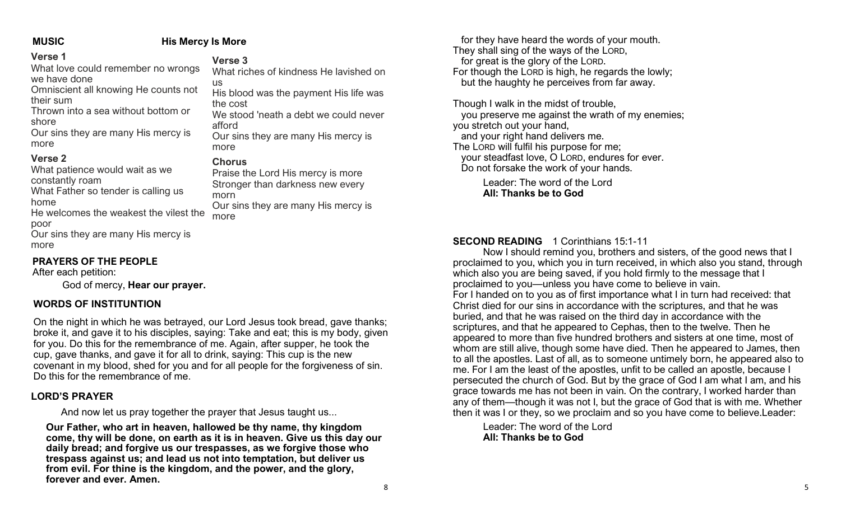Leader: The word of the Lord **All: Thanks be to God**

 for they have heard the words of your mouth. They shall sing of the ways of the LORD, for great is the glory of the LORD. For though the LORD is high, he regards the lowly; but the haughty he perceives from far away.

Though I walk in the midst of trouble, you preserve me against the wrath of my enemies; you stretch out your hand, and your right hand delivers me. The LORD will fulfil his purpose for me; your steadfast love, O LORD, endures for ever. Do not forsake the work of your hands.

> Leader: The word of the Lord **All: Thanks be to God**

#### **SECOND READING** 1 Corinthians 15:1-11

Now I should remind you, brothers and sisters, of the good news that I proclaimed to you, which you in turn received, in which also you stand, through which also you are being saved, if you hold firmly to the message that I proclaimed to you—unless you have come to believe in vain. For I handed on to you as of first importance what I in turn had received: that Christ died for our sins in accordance with the scriptures, and that he was buried, and that he was raised on the third day in accordance with the scriptures, and that he appeared to Cephas, then to the twelve. Then he appeared to more than five hundred brothers and sisters at one time, most of whom are still alive, though some have died. Then he appeared to James, then to all the apostles. Last of all, as to someone untimely born, he appeared also to me. For I am the least of the apostles, unfit to be called an apostle, because I persecuted the church of God. But by the grace of God I am what I am, and his grace towards me has not been in vain. On the contrary, I worked harder than any of them—though it was not I, but the grace of God that is with me. Whether then it was I or they, so we proclaim and so you have come to believe.Leader:

the cost afford more **Chorus**

us

What patience would wait as we constantly roam What Father so tender is calling us home He welcomes the weakest the vilest the poor Our sins they are many His mercy is more

#### **PRAYERS OF THE PEOPLE**

After each petition:

God of mercy, **Hear our prayer.**

#### **WORDS OF INSTITUNTION**

On the night in which he was betrayed, our Lord Jesus took bread, gave thanks; broke it, and gave it to his disciples, saying: Take and eat; this is my body, given for you. Do this for the remembrance of me. Again, after supper, he took the cup, gave thanks, and gave it for all to drink, saying: This cup is the new covenant in my blood, shed for you and for all people for the forgiveness of sin. Do this for the remembrance of me.

#### **LORD'S PRAYER**

And now let us pray together the prayer that Jesus taught us...

**Our Father, who art in heaven, hallowed be thy name, thy kingdom come, thy will be done, on earth as it is in heaven. Give us this day our daily bread; and forgive us our trespasses, as we forgive those who trespass against us; and lead us not into temptation, but deliver us from evil. For thine is the kingdom, and the power, and the glory, forever and ever. Amen.**

#### **MUSIC His Mercy Is More**

#### **Verse 1**

What love could remember no wrongs

we have done Omniscient all knowing He counts not their sum

Thrown into a sea without bottom or shore Our sins they are many His mercy is

more

#### **Verse 2**

5

#### **Verse 3**

What riches of kindness He lavished on His blood was the payment His life was We stood 'neath a debt we could never

Our sins they are many His mercy is

Praise the Lord His mercy is more Stronger than darkness new every morn

Our sins they are many His mercy is more